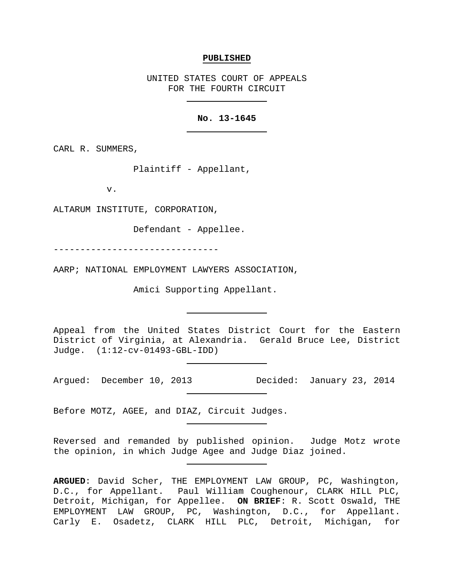#### **PUBLISHED**

UNITED STATES COURT OF APPEALS FOR THE FOURTH CIRCUIT

### **No. 13-1645**

CARL R. SUMMERS,

Plaintiff - Appellant,

v.

ALTARUM INSTITUTE, CORPORATION,

Defendant - Appellee.

-------------------------------

AARP; NATIONAL EMPLOYMENT LAWYERS ASSOCIATION,

Amici Supporting Appellant.

Appeal from the United States District Court for the Eastern District of Virginia, at Alexandria. Gerald Bruce Lee, District Judge. (1:12-cv-01493-GBL-IDD)

Argued: December 10, 2013 Decided: January 23, 2014

Before MOTZ, AGEE, and DIAZ, Circuit Judges.

Reversed and remanded by published opinion. Judge Motz wrote the opinion, in which Judge Agee and Judge Diaz joined.

**ARGUED**: David Scher, THE EMPLOYMENT LAW GROUP, PC, Washington, D.C., for Appellant. Paul William Coughenour, CLARK HILL PLC, Detroit, Michigan, for Appellee. **ON BRIEF**: R. Scott Oswald, THE EMPLOYMENT LAW GROUP, PC, Washington, D.C., for Appellant. Carly E. Osadetz, CLARK HILL PLC, Detroit, Michigan, for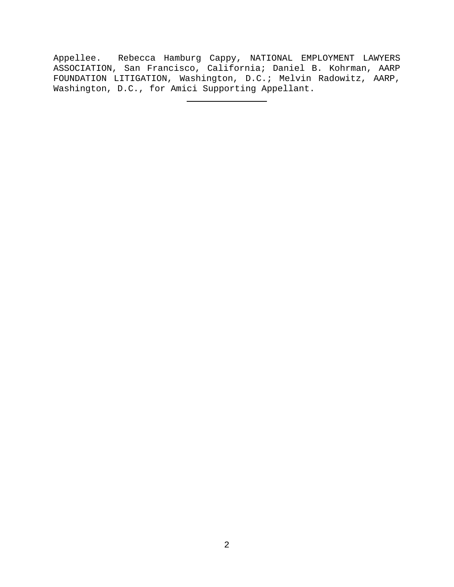Appellee. Rebecca Hamburg Cappy, NATIONAL EMPLOYMENT LAWYERS ASSOCIATION, San Francisco, California; Daniel B. Kohrman, AARP FOUNDATION LITIGATION, Washington, D.C.; Melvin Radowitz, AARP, Washington, D.C., for Amici Supporting Appellant.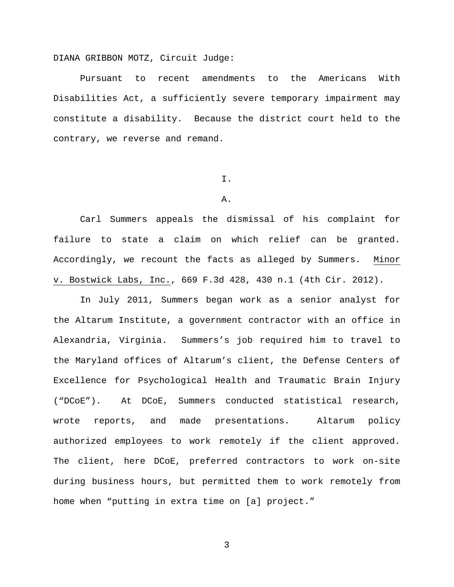DIANA GRIBBON MOTZ, Circuit Judge:

Pursuant to recent amendments to the Americans With Disabilities Act, a sufficiently severe temporary impairment may constitute a disability. Because the district court held to the contrary, we reverse and remand.

## I.

## A.

Carl Summers appeals the dismissal of his complaint for failure to state a claim on which relief can be granted. Accordingly, we recount the facts as alleged by Summers. Minor v. Bostwick Labs, Inc., 669 F.3d 428, 430 n.1 (4th Cir. 2012).

In July 2011, Summers began work as a senior analyst for the Altarum Institute, a government contractor with an office in Alexandria, Virginia. Summers's job required him to travel to the Maryland offices of Altarum's client, the Defense Centers of Excellence for Psychological Health and Traumatic Brain Injury ("DCoE"). At DCoE, Summers conducted statistical research, wrote reports, and made presentations. Altarum policy authorized employees to work remotely if the client approved. The client, here DCoE, preferred contractors to work on-site during business hours, but permitted them to work remotely from home when "putting in extra time on [a] project."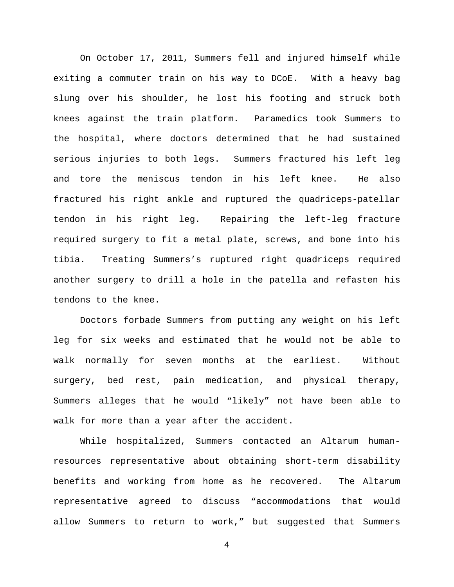On October 17, 2011, Summers fell and injured himself while exiting a commuter train on his way to DCoE. With a heavy bag slung over his shoulder, he lost his footing and struck both knees against the train platform. Paramedics took Summers to the hospital, where doctors determined that he had sustained serious injuries to both legs. Summers fractured his left leg and tore the meniscus tendon in his left knee. He also fractured his right ankle and ruptured the quadriceps-patellar tendon in his right leg. Repairing the left-leg fracture required surgery to fit a metal plate, screws, and bone into his tibia. Treating Summers's ruptured right quadriceps required another surgery to drill a hole in the patella and refasten his tendons to the knee.

Doctors forbade Summers from putting any weight on his left leg for six weeks and estimated that he would not be able to walk normally for seven months at the earliest. Without surgery, bed rest, pain medication, and physical therapy, Summers alleges that he would "likely" not have been able to walk for more than a year after the accident.

While hospitalized, Summers contacted an Altarum humanresources representative about obtaining short-term disability benefits and working from home as he recovered. The Altarum representative agreed to discuss "accommodations that would allow Summers to return to work," but suggested that Summers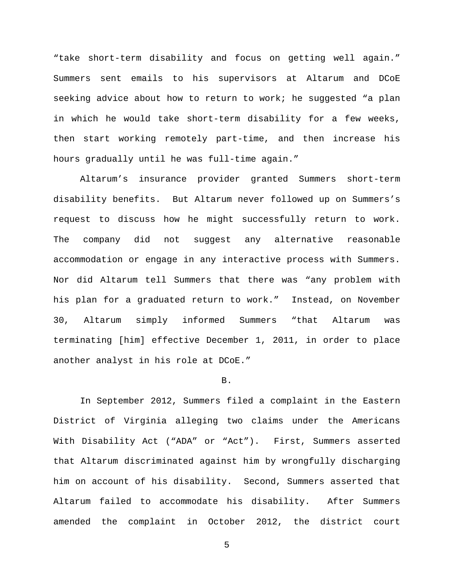"take short-term disability and focus on getting well again." Summers sent emails to his supervisors at Altarum and DCoE seeking advice about how to return to work; he suggested "a plan in which he would take short-term disability for a few weeks, then start working remotely part-time, and then increase his hours gradually until he was full-time again."

Altarum's insurance provider granted Summers short-term disability benefits. But Altarum never followed up on Summers's request to discuss how he might successfully return to work. The company did not suggest any alternative reasonable accommodation or engage in any interactive process with Summers. Nor did Altarum tell Summers that there was "any problem with his plan for a graduated return to work." Instead, on November 30, Altarum simply informed Summers "that Altarum was terminating [him] effective December 1, 2011, in order to place another analyst in his role at DCoE."

#### B.

In September 2012, Summers filed a complaint in the Eastern District of Virginia alleging two claims under the Americans With Disability Act ("ADA" or "Act"). First, Summers asserted that Altarum discriminated against him by wrongfully discharging him on account of his disability. Second, Summers asserted that Altarum failed to accommodate his disability. After Summers amended the complaint in October 2012, the district court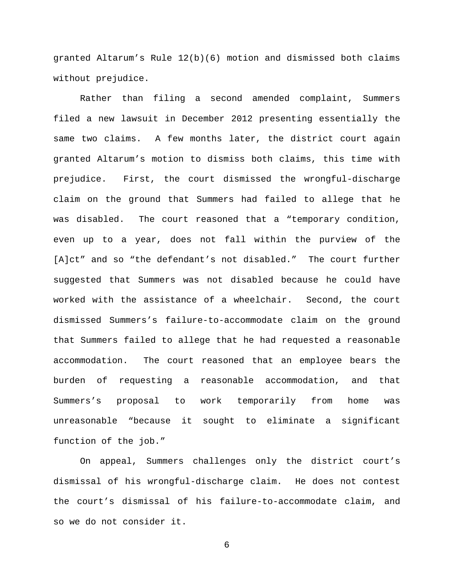granted Altarum's Rule 12(b)(6) motion and dismissed both claims without prejudice.

Rather than filing a second amended complaint, Summers filed a new lawsuit in December 2012 presenting essentially the same two claims. A few months later, the district court again granted Altarum's motion to dismiss both claims, this time with prejudice. First, the court dismissed the wrongful-discharge claim on the ground that Summers had failed to allege that he was disabled. The court reasoned that a "temporary condition, even up to a year, does not fall within the purview of the [A]ct" and so "the defendant's not disabled." The court further suggested that Summers was not disabled because he could have worked with the assistance of a wheelchair. Second, the court dismissed Summers's failure-to-accommodate claim on the ground that Summers failed to allege that he had requested a reasonable accommodation. The court reasoned that an employee bears the burden of requesting a reasonable accommodation, and that Summers's proposal to work temporarily from home was unreasonable "because it sought to eliminate a significant function of the job."

On appeal, Summers challenges only the district court's dismissal of his wrongful-discharge claim. He does not contest the court's dismissal of his failure-to-accommodate claim, and so we do not consider it.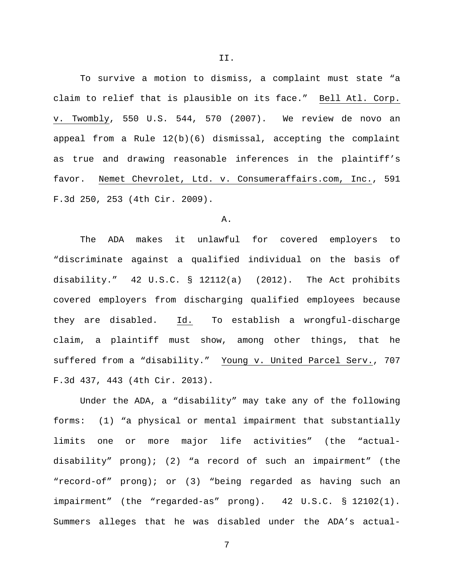To survive a motion to dismiss, a complaint must state "a

claim to relief that is plausible on its face." Bell Atl. Corp. v. Twombly, 550 U.S. 544, 570 (2007). We review de novo an appeal from a Rule 12(b)(6) dismissal, accepting the complaint as true and drawing reasonable inferences in the plaintiff's favor. Nemet Chevrolet, Ltd. v. Consumeraffairs.com, Inc., 591 F.3d 250, 253 (4th Cir. 2009).

# A.

The ADA makes it unlawful for covered employers to "discriminate against a qualified individual on the basis of disability." 42 U.S.C. § 12112(a) (2012). The Act prohibits covered employers from discharging qualified employees because they are disabled. Id. To establish a wrongful-discharge claim, a plaintiff must show, among other things, that he suffered from a "disability." Young v. United Parcel Serv., 707 F.3d 437, 443 (4th Cir. 2013).

Under the ADA, a "disability" may take any of the following forms: (1) "a physical or mental impairment that substantially limits one or more major life activities" (the "actualdisability" prong); (2) "a record of such an impairment" (the "record-of" prong); or (3) "being regarded as having such an impairment" (the "regarded-as" prong). 42 U.S.C. § 12102(1). Summers alleges that he was disabled under the ADA's actual-

7

II.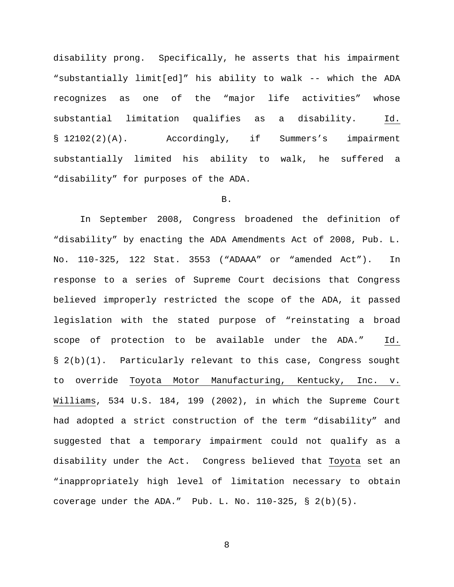disability prong. Specifically, he asserts that his impairment "substantially limit[ed]" his ability to walk -- which the ADA recognizes as one of the "major life activities" whose substantial limitation qualifies as a disability. Id. § 12102(2)(A). Accordingly, if Summers's impairment substantially limited his ability to walk, he suffered a "disability" for purposes of the ADA.

## B.

In September 2008, Congress broadened the definition of "disability" by enacting the ADA Amendments Act of 2008, Pub. L. No. 110-325, 122 Stat. 3553 ("ADAAA" or "amended Act"). In response to a series of Supreme Court decisions that Congress believed improperly restricted the scope of the ADA, it passed legislation with the stated purpose of "reinstating a broad scope of protection to be available under the ADA." Id. § 2(b)(1). Particularly relevant to this case, Congress sought to override Toyota Motor Manufacturing, Kentucky, Inc. v. Williams, 534 U.S. 184, 199 (2002), in which the Supreme Court had adopted a strict construction of the term "disability" and suggested that a temporary impairment could not qualify as a disability under the Act. Congress believed that Toyota set an "inappropriately high level of limitation necessary to obtain coverage under the ADA." Pub. L. No.  $110-325$ , §  $2(b)(5)$ .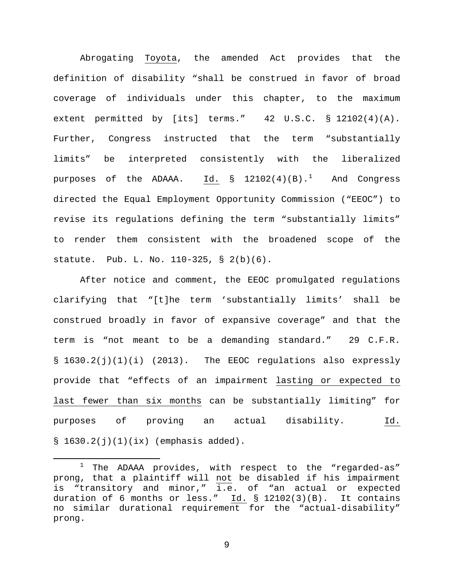Abrogating Toyota, the amended Act provides that the definition of disability "shall be construed in favor of broad coverage of individuals under this chapter, to the maximum extent permitted by [its] terms." 42 U.S.C. § 12102(4)(A). Further, Congress instructed that the term "substantially limits" be interpreted consistently with the liberalized purposes of the ADAAA.  $\underline{\text{Id.}}$  § [1](#page-8-0)2102(4)(B). $^1$  And Congress directed the Equal Employment Opportunity Commission ("EEOC") to revise its regulations defining the term "substantially limits" to render them consistent with the broadened scope of the statute. Pub. L. No. 110-325, § 2(b)(6).

After notice and comment, the EEOC promulgated regulations clarifying that "[t]he term 'substantially limits' shall be construed broadly in favor of expansive coverage" and that the term is "not meant to be a demanding standard." 29 C.F.R. § 1630.2(j)(1)(i) (2013). The EEOC regulations also expressly provide that "effects of an impairment lasting or expected to last fewer than six months can be substantially limiting" for purposes of proving an actual disability. Id.  $$1630.2(j)(1)(ix)$  (emphasis added).

<span id="page-8-0"></span> $1$  The ADAAA provides, with respect to the "regarded-as" prong, that a plaintiff will not be disabled if his impairment is "transitory and minor," i.e. of "an actual or expected duration of 6 months or less." Id.  $\S$  12102(3)(B). It contains no similar durational requirement for the "actual-disability" prong.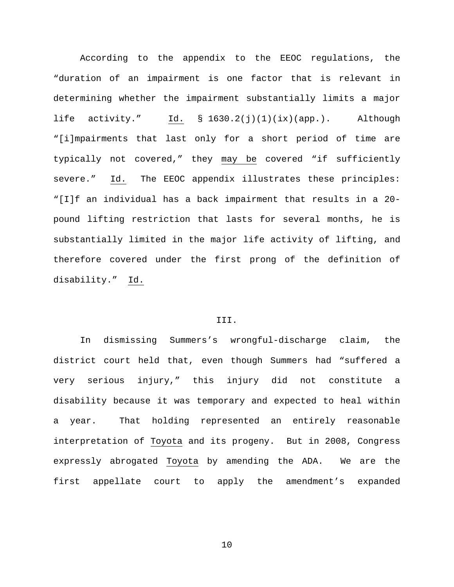According to the appendix to the EEOC regulations, the "duration of an impairment is one factor that is relevant in determining whether the impairment substantially limits a major life activity." Id. § 1630.2(j)(1)(ix)(app.). Although "[i]mpairments that last only for a short period of time are typically not covered," they may be covered "if sufficiently severe." Id. The EEOC appendix illustrates these principles: "[I]f an individual has a back impairment that results in a 20 pound lifting restriction that lasts for several months, he is substantially limited in the major life activity of lifting, and therefore covered under the first prong of the definition of disability." Id.

## III.

In dismissing Summers's wrongful-discharge claim, the district court held that, even though Summers had "suffered a very serious injury," this injury did not constitute a disability because it was temporary and expected to heal within a year. That holding represented an entirely reasonable interpretation of Toyota and its progeny. But in 2008, Congress expressly abrogated Toyota by amending the ADA. We are the first appellate court to apply the amendment's expanded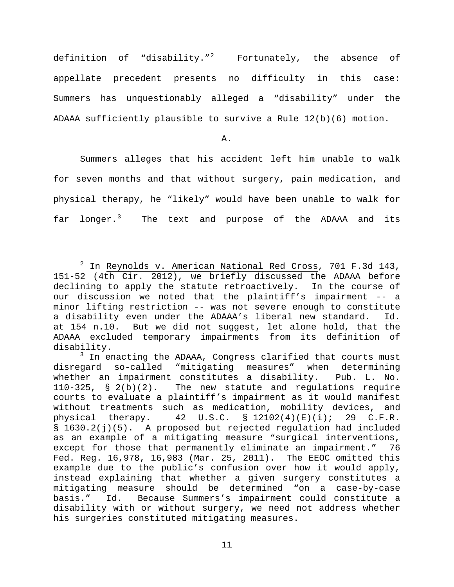definition of "disability."<sup>[2](#page-10-0)</sup> Fortunately, the absence of appellate precedent presents no difficulty in this case: Summers has unquestionably alleged a "disability" under the ADAAA sufficiently plausible to survive a Rule 12(b)(6) motion.

A.

Summers alleges that his accident left him unable to walk for seven months and that without surgery, pain medication, and physical therapy, he "likely" would have been unable to walk for far longer.<sup>[3](#page-10-1)</sup> The text and purpose of the ADAAA and its

<span id="page-10-0"></span> $2$  In Reynolds v. American National Red Cross, 701 F.3d 143, 151-52 (4th Cir. 2012), we briefly discussed the ADAAA before declining to apply the statute retroactively. In the course of our discussion we noted that the plaintiff's impairment -- a minor lifting restriction -- was not severe enough to constitute<br>a disability even under the ADAAA's liberal new standard. Id. a disability even under the ADAAA's liberal new standard. at 154 n.10. But we did not suggest, let alone hold, that the ADAAA excluded temporary impairments from its definition of disability.

<span id="page-10-1"></span> $3$  In enacting the ADAAA, Congress clarified that courts must disregard so-called "mitigating measures" when determining whether an impairment constitutes a disability. Pub. L. No.<br>110-325, § 2(b)(2). The new statute and regulations require The new statute and regulations require courts to evaluate a plaintiff's impairment as it would manifest without treatments such as medication, mobility devices, and<br>physical therapy. 42 U.S.C. § 12102(4)(E)(i); 29 C.F.R. physical therapy. 42 U.S.C. § 12102(4)(E)(i); 29 C.F.R. § 1630.2(j)(5). A proposed but rejected regulation had included as an example of a mitigating measure "surgical interventions, except for those that permanently eliminate an impairment." 76 Fed. Reg. 16,978, 16,983 (Mar. 25, 2011). The EEOC omitted this example due to the public's confusion over how it would apply, instead explaining that whether a given surgery constitutes a mitigating measure should be determined "on a case-by-case basis." Id. Because Summers's impairment could constitute a disability with or without surgery, we need not address whether his surgeries constituted mitigating measures.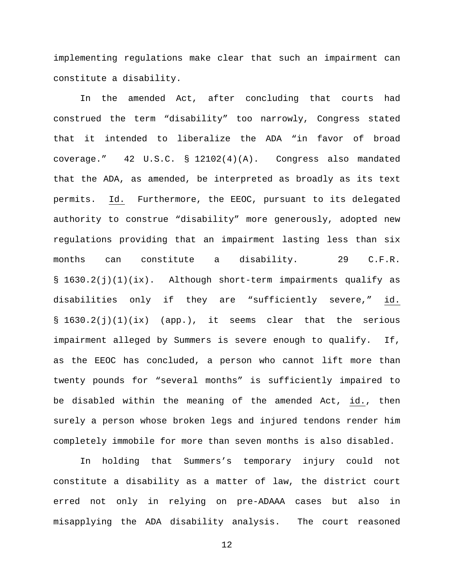implementing regulations make clear that such an impairment can constitute a disability.

In the amended Act, after concluding that courts had construed the term "disability" too narrowly, Congress stated that it intended to liberalize the ADA "in favor of broad coverage." 42 U.S.C. § 12102(4)(A). Congress also mandated that the ADA, as amended, be interpreted as broadly as its text permits. Id. Furthermore, the EEOC, pursuant to its delegated authority to construe "disability" more generously, adopted new regulations providing that an impairment lasting less than six months can constitute a disability. 29 C.F.R.  $\S$  1630.2(j)(1)(ix). Although short-term impairments qualify as disabilities only if they are "sufficiently severe," id. § 1630.2(j)(1)(ix) (app.), it seems clear that the serious impairment alleged by Summers is severe enough to qualify. If, as the EEOC has concluded, a person who cannot lift more than twenty pounds for "several months" is sufficiently impaired to be disabled within the meaning of the amended Act, id., then surely a person whose broken legs and injured tendons render him completely immobile for more than seven months is also disabled.

In holding that Summers's temporary injury could not constitute a disability as a matter of law, the district court erred not only in relying on pre-ADAAA cases but also in misapplying the ADA disability analysis. The court reasoned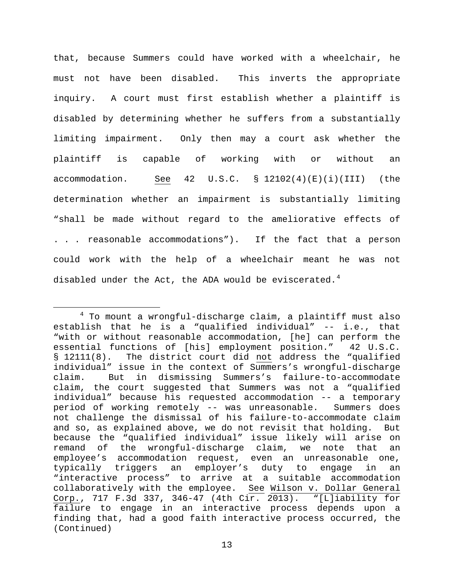that, because Summers could have worked with a wheelchair, he must not have been disabled. This inverts the appropriate inquiry. A court must first establish whether a plaintiff is disabled by determining whether he suffers from a substantially limiting impairment. Only then may a court ask whether the plaintiff is capable of working with or without an accommodation. See 42 U.S.C. § 12102(4)(E)(i)(III) (the determination whether an impairment is substantially limiting "shall be made without regard to the ameliorative effects of . . . reasonable accommodations"). If the fact that a person could work with the help of a wheelchair meant he was not disabled under the Act, the ADA would be eviscerated.<sup>[4](#page-12-0)</sup>

<span id="page-12-0"></span> <sup>4</sup> To mount a wrongful-discharge claim, a plaintiff must also establish that he is a "qualified individual" -- i.e., that "with or without reasonable accommodation, [he] can perform the essential functions of [his] employment position." 42 U.S.C. § 12111(8). The district court did not address the "qualified individual" issue in the context of Summers's wrongful-discharge claim. But in dismissing Summers's failure-to-accommodate claim, the court suggested that Summers was not a "qualified individual" because his requested accommodation -- a temporary period of working remotely -- was unreasonable. Summers does not challenge the dismissal of his failure-to-accommodate claim and so, as explained above, we do not revisit that holding. But because the "qualified individual" issue likely will arise on remand of the wrongful-discharge claim, we note that an employee's accommodation request, even an unreasonable one, typically triggers an employer's duty to engage in an "interactive process" to arrive at a suitable accommodation collaboratively with the employee. See Wilson v. Dollar General Corp., 717 F.3d 337, 346-47 (4th Cir. 2013). "[L]iability for failure to engage in an interactive process depends upon a finding that, had a good faith interactive process occurred, the (Continued)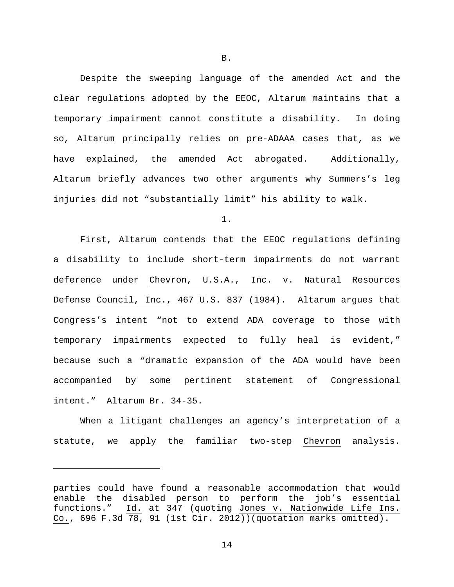Despite the sweeping language of the amended Act and the clear regulations adopted by the EEOC, Altarum maintains that a temporary impairment cannot constitute a disability. In doing so, Altarum principally relies on pre-ADAAA cases that, as we have explained, the amended Act abrogated. Additionally, Altarum briefly advances two other arguments why Summers's leg injuries did not "substantially limit" his ability to walk.

1.

First, Altarum contends that the EEOC regulations defining a disability to include short-term impairments do not warrant deference under Chevron, U.S.A., Inc. v. Natural Resources Defense Council, Inc., 467 U.S. 837 (1984). Altarum argues that Congress's intent "not to extend ADA coverage to those with temporary impairments expected to fully heal is evident," because such a "dramatic expansion of the ADA would have been accompanied by some pertinent statement of Congressional intent." Altarum Br. 34-35.

When a litigant challenges an agency's interpretation of a statute, we apply the familiar two-step Chevron analysis.

ī

B.

parties could have found a reasonable accommodation that would enable the disabled person to perform the job's essential functions." Id. at 347 (quoting Jones v. Nationwide Life Ins. Co., 696 F.3d 78, 91 (1st Cir. 2012))(quotation marks omitted).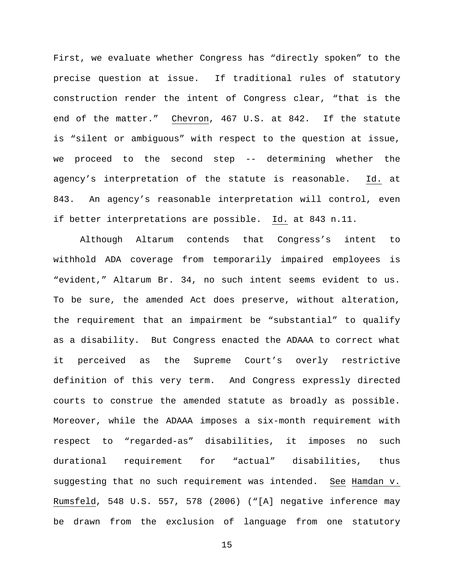First, we evaluate whether Congress has "directly spoken" to the precise question at issue. If traditional rules of statutory construction render the intent of Congress clear, "that is the end of the matter." Chevron, 467 U.S. at 842. If the statute is "silent or ambiguous" with respect to the question at issue, we proceed to the second step -- determining whether the agency's interpretation of the statute is reasonable. Id. at 843. An agency's reasonable interpretation will control, even if better interpretations are possible. Id. at 843 n.11.

Although Altarum contends that Congress's intent to withhold ADA coverage from temporarily impaired employees is "evident," Altarum Br. 34, no such intent seems evident to us. To be sure, the amended Act does preserve, without alteration, the requirement that an impairment be "substantial" to qualify as a disability. But Congress enacted the ADAAA to correct what it perceived as the Supreme Court's overly restrictive definition of this very term. And Congress expressly directed courts to construe the amended statute as broadly as possible. Moreover, while the ADAAA imposes a six-month requirement with respect to "regarded-as" disabilities, it imposes no such durational requirement for "actual" disabilities, thus suggesting that no such requirement was intended. See Hamdan v. Rumsfeld, 548 U.S. 557, 578 (2006) ("[A] negative inference may be drawn from the exclusion of language from one statutory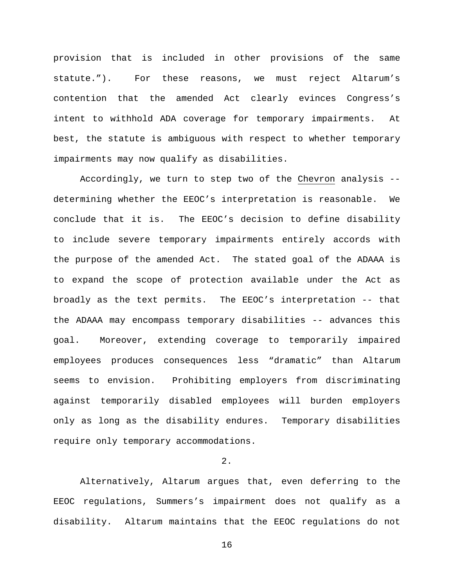provision that is included in other provisions of the same statute."). For these reasons, we must reject Altarum's contention that the amended Act clearly evinces Congress's intent to withhold ADA coverage for temporary impairments. At best, the statute is ambiguous with respect to whether temporary impairments may now qualify as disabilities.

Accordingly, we turn to step two of the Chevron analysis - determining whether the EEOC's interpretation is reasonable. We conclude that it is. The EEOC's decision to define disability to include severe temporary impairments entirely accords with the purpose of the amended Act. The stated goal of the ADAAA is to expand the scope of protection available under the Act as broadly as the text permits. The EEOC's interpretation -- that the ADAAA may encompass temporary disabilities -- advances this goal. Moreover, extending coverage to temporarily impaired employees produces consequences less "dramatic" than Altarum seems to envision. Prohibiting employers from discriminating against temporarily disabled employees will burden employers only as long as the disability endures. Temporary disabilities require only temporary accommodations.

# 2.

Alternatively, Altarum argues that, even deferring to the EEOC regulations, Summers's impairment does not qualify as a disability. Altarum maintains that the EEOC regulations do not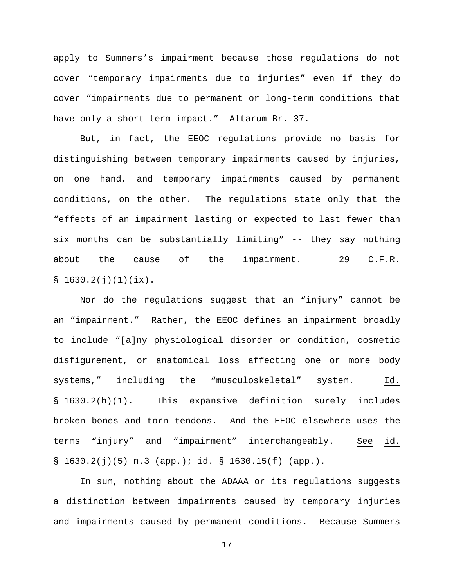apply to Summers's impairment because those regulations do not cover "temporary impairments due to injuries" even if they do cover "impairments due to permanent or long-term conditions that have only a short term impact." Altarum Br. 37.

But, in fact, the EEOC regulations provide no basis for distinguishing between temporary impairments caused by injuries, on one hand, and temporary impairments caused by permanent conditions, on the other. The regulations state only that the "effects of an impairment lasting or expected to last fewer than six months can be substantially limiting" -- they say nothing about the cause of the impairment. 29 C.F.R.  $$1630.2(j)(1)(ix).$ 

Nor do the regulations suggest that an "injury" cannot be an "impairment." Rather, the EEOC defines an impairment broadly to include "[a]ny physiological disorder or condition, cosmetic disfigurement, or anatomical loss affecting one or more body systems," including the "musculoskeletal" system. Id. § 1630.2(h)(1). This expansive definition surely includes broken bones and torn tendons. And the EEOC elsewhere uses the terms "injury" and "impairment" interchangeably. See id. § 1630.2(j)(5) n.3 (app.); id. § 1630.15(f) (app.).

In sum, nothing about the ADAAA or its regulations suggests a distinction between impairments caused by temporary injuries and impairments caused by permanent conditions. Because Summers